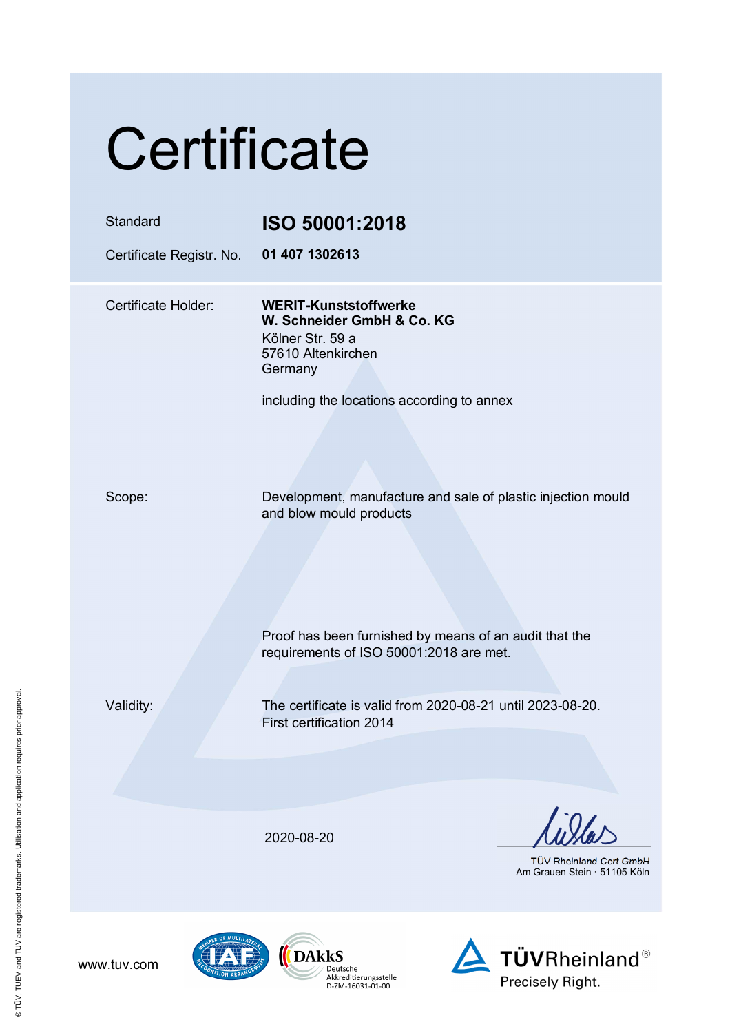## **Certificate**

| Standard<br>Certificate Registr. No. | ISO 50001:2018<br>01 407 1302613                                                                                                                                                             |
|--------------------------------------|----------------------------------------------------------------------------------------------------------------------------------------------------------------------------------------------|
| Certificate Holder:                  | <b>WERIT-Kunststoffwerke</b><br>W. Schneider GmbH & Co. KG<br>Kölner Str. 59 a<br>57610 Altenkirchen<br>Germany<br>including the locations according to annex                                |
| Scope:                               | Development, manufacture and sale of plastic injection mould<br>and blow mould products<br>Proof has been furnished by means of an audit that the<br>requirements of ISO 50001:2018 are met. |
| Validity:                            | The certificate is valid from 2020-08-21 until 2023-08-20.<br>First certification 2014                                                                                                       |
|                                      | 2020-08-20<br>TÜV Rheinland Cert GmbH<br>Am Grauen Stein · 51105 Köln                                                                                                                        |





www.tuv.com